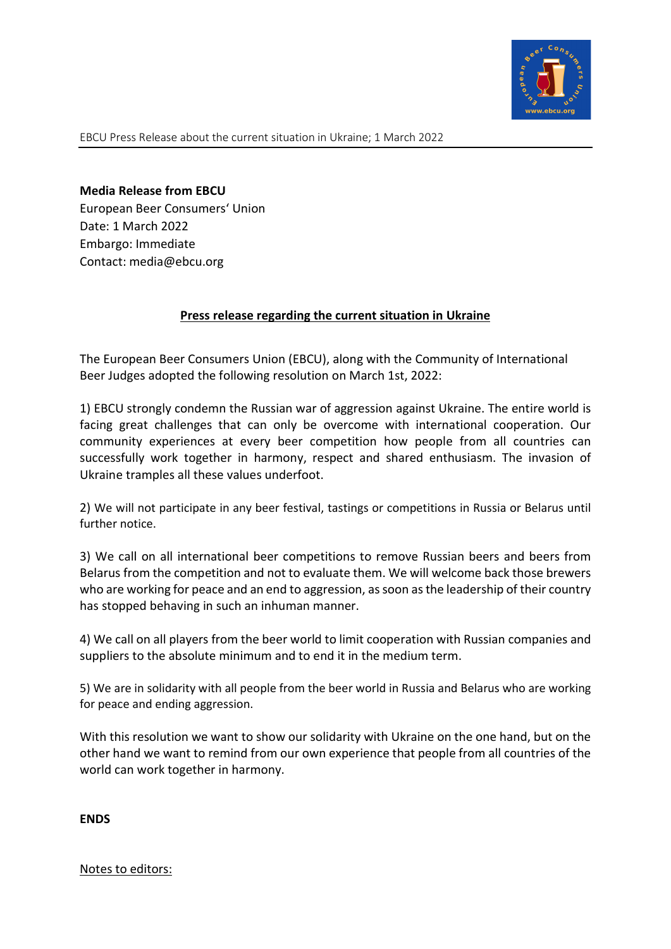

EBCU Press Release about the current situation in Ukraine; 1 March 2022

Media Release from EBCU European Beer Consumers' Union Date: 1 March 2022 Embargo: Immediate Contact: media@ebcu.org

## Press release regarding the current situation in Ukraine

The European Beer Consumers Union (EBCU), along with the Community of International Beer Judges adopted the following resolution on March 1st, 2022:

1) EBCU strongly condemn the Russian war of aggression against Ukraine. The entire world is facing great challenges that can only be overcome with international cooperation. Our community experiences at every beer competition how people from all countries can successfully work together in harmony, respect and shared enthusiasm. The invasion of Ukraine tramples all these values underfoot.

2) We will not participate in any beer festival, tastings or competitions in Russia or Belarus until further notice.

3) We call on all international beer competitions to remove Russian beers and beers from Belarus from the competition and not to evaluate them. We will welcome back those brewers who are working for peace and an end to aggression, as soon as the leadership of their country has stopped behaving in such an inhuman manner.

4) We call on all players from the beer world to limit cooperation with Russian companies and suppliers to the absolute minimum and to end it in the medium term.

5) We are in solidarity with all people from the beer world in Russia and Belarus who are working for peace and ending aggression.

With this resolution we want to show our solidarity with Ukraine on the one hand, but on the other hand we want to remind from our own experience that people from all countries of the world can work together in harmony.

ENDS

Notes to editors: